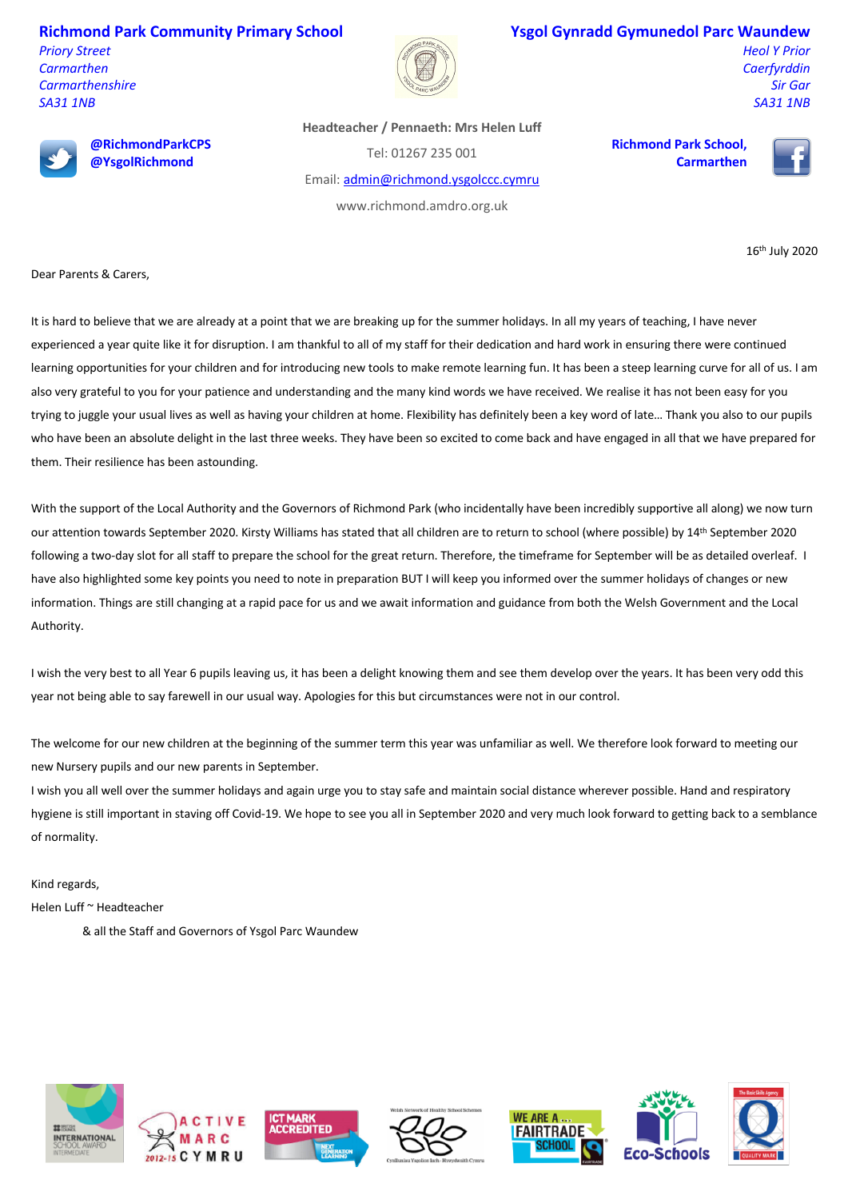**Richmond Park Community Primary School** *Priory Street*

*Carmarthen Carmarthenshire SA31 1NB*



## **Ysgol Gynradd Gymunedol Parc Waundew**

*Heol Y Prior Caerfyrddin Sir Gar SA31 1NB*



**@RichmondParkCPS @YsgolRichmond**

**Headteacher / Pennaeth: Mrs Helen Luff**

Tel: 01267 235 001

Email: admin@richmond.ysgolccc.cymru

www.richmond.amdro.org.uk

**Richmond Park School, Carmarthen**



16th July 2020

Dear Parents & Carers,

It is hard to believe that we are already at a point that we are breaking up for the summer holidays. In all my years of teaching, I have never experienced a year quite like it for disruption. I am thankful to all of my staff for their dedication and hard work in ensuring there were continued learning opportunities for your children and for introducing new tools to make remote learning fun. It has been a steep learning curve for all of us. I am also very grateful to you for your patience and understanding and the many kind words we have received. We realise it has not been easy for you trying to juggle your usual lives as well as having your children at home. Flexibility has definitely been a key word of late… Thank you also to our pupils who have been an absolute delight in the last three weeks. They have been so excited to come back and have engaged in all that we have prepared for them. Their resilience has been astounding.

With the support of the Local Authority and the Governors of Richmond Park (who incidentally have been incredibly supportive all along) we now turn our attention towards September 2020. Kirsty Williams has stated that all children are to return to school (where possible) by 14th September 2020 following a two-day slot for all staff to prepare the school for the great return. Therefore, the timeframe for September will be as detailed overleaf. I have also highlighted some key points you need to note in preparation BUT I will keep you informed over the summer holidays of changes or new information. Things are still changing at a rapid pace for us and we await information and guidance from both the Welsh Government and the Local Authority.

I wish the very best to all Year 6 pupils leaving us, it has been a delight knowing them and see them develop over the years. It has been very odd this year not being able to say farewell in our usual way. Apologies for this but circumstances were not in our control.

The welcome for our new children at the beginning of the summer term this year was unfamiliar as well. We therefore look forward to meeting our new Nursery pupils and our new parents in September.

I wish you all well over the summer holidays and again urge you to stay safe and maintain social distance wherever possible. Hand and respiratory hygiene is still important in staving off Covid-19. We hope to see you all in September 2020 and very much look forward to getting back to a semblance of normality.

Kind regards,

Helen Luff ~ Headteacher

& all the Staff and Governors of Ysgol Parc Waundew